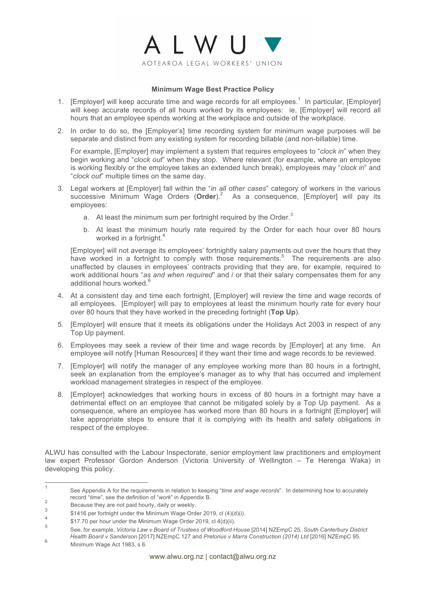

# **Minimum Wage Best Practice Policy**

- 1. [Employer] will keep accurate time and wage records for all employees.<sup>1</sup> In particular, [Employer] will keep accurate records of all hours worked by its employees: ie, [Employer] will record all hours that an employee spends working at the workplace and outside of the workplace.
- 2. In order to do so, the [Employer's] time recording system for minimum wage purposes will be separate and distinct from any existing system for recording billable (and non-billable) time.

For example, [Employer] may implement a system that requires employees to "*clock in*" when they begin working and "*clock out*" when they stop. Where relevant (for example, where an employee is working flexibly or the employee takes an extended lunch break), employees may "*clock in*" and "*clock out*" multiple times on the same day.

- 3. Legal workers at [Employer] fall within the "*in all other cases*" category of workers in the various successive Minimum Wage Orders (Order).<sup>2</sup> As a consequence, [Employer] will pay its employees:
	- a. At least the minimum sum per fortnight required by the Order.<sup>3</sup>
	- b. At least the minimum hourly rate required by the Order for each hour over 80 hours worked in a fortnight.<sup>4</sup>

[Employer] will not average its employees' fortnightly salary payments out over the hours that they have worked in a fortnight to comply with those requirements.<sup>5</sup> The requirements are also unaffected by clauses in employees' contracts providing that they are, for example, required to work additional hours "*as and when required*" and / or that their salary compensates them for any additional hours worked.<sup>6</sup>

- 4. At a consistent day and time each fortnight, [Employer] will review the time and wage records of all employees. [Employer] will pay to employees at least the minimum hourly rate for every hour over 80 hours that they have worked in the preceding fortnight (**Top Up**).
- 5. [Employer] will ensure that it meets its obligations under the Holidays Act 2003 in respect of any Top Up payment.
- 6. Employees may seek a review of their time and wage records by [Employer] at any time. An employee will notify [Human Resources] if they want their time and wage records to be reviewed.
- 7. [Employer] will notify the manager of any employee working more than 80 hours in a fortnight, seek an explanation from the employee's manager as to why that has occurred and implement workload management strategies in respect of the employee.
- 8. [Employer] acknowledges that working hours in excess of 80 hours in a fortnight may have a detrimental effect on an employee that cannot be mitigated solely by a Top Up payment. As a consequence, where an employee has worked more than 80 hours in a fortnight [Employer] will take appropriate steps to ensure that it is complying with its health and safety obligations in respect of the employee.

ALWU has consulted with the Labour Inspectorate, senior employment law practitioners and employment law expert Professor Gordon Anderson (Victoria University of Wellington – Te Herenga Waka) in developing this policy.

5 See, for example, *Victoria Law v Board of Trustees of Woodford House* [2014] NZEmpC 25, *South Canterbury District Health Board v Sanderson* [2017] NZEmpC 127 and *Pretorius v Marra Construction (2014) Ltd* [2016] NZEmpC 95. <sup>6</sup> Minimum Wage Act 1983, s 6.

 <sup>1</sup> See Appendix A for the requirements in relation to keeping "*time and wage records*". In determining how to accurately

record "*time*", see the definition of "*work*" in Appendix B.<br>Because they are not paid hourly, daily or weekly.

 $\frac{3}{4}$  \$1416 per fortnight under the Minimum Wage Order 2019, cl (4)(d)(i).

<sup>\$17.70</sup> per hour under the Minimum Wage Order 2019, cl 4(d)(ii).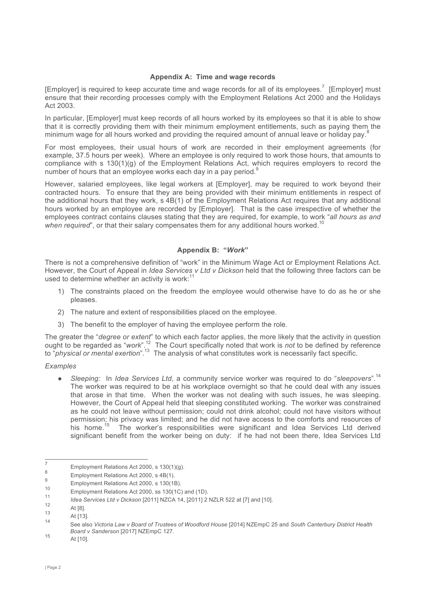## **Appendix A: Time and wage records**

[Employer] is required to keep accurate time and wage records for all of its employees.<sup>7</sup> [Employer] must ensure that their recording processes comply with the Employment Relations Act 2000 and the Holidays Act 2003.

In particular, [Employer] must keep records of all hours worked by its employees so that it is able to show that it is correctly providing them with their minimum employment entitlements, such as paying them the minimum wage for all hours worked and providing the required amount of annual leave or holiday pay.<sup>8</sup>

For most employees, their usual hours of work are recorded in their employment agreements (for example, 37.5 hours per week). Where an employee is only required to work those hours, that amounts to compliance with s 130(1)(g) of the Employment Relations Act, which requires employers to record the number of hours that an employee works each day in a pay period.<sup>9</sup>

However, salaried employees, like legal workers at [Employer], may be required to work beyond their contracted hours. To ensure that they are being provided with their minimum entitlements in respect of the additional hours that they work, s 4B(1) of the Employment Relations Act requires that any additional hours worked by an employee are recorded by [Employer]. That is the case irrespective of whether the employees contract contains clauses stating that they are required, for example, to work "*all hours as and*  when required", or that their salary compensates them for any additional hours worked.<sup>10</sup>

### **Appendix B: "***Work***"**

There is not a comprehensive definition of "work" in the Minimum Wage Act or Employment Relations Act. However, the Court of Appeal in *Idea Services v Ltd v Dickson* held that the following three factors can be used to determine whether an activity is work: $11$ 

- 1) The constraints placed on the freedom the employee would otherwise have to do as he or she pleases.
- 2) The nature and extent of responsibilities placed on the employee.
- 3) The benefit to the employer of having the employee perform the role.

The greater the "*degree or extent*" to which each factor applies, the more likely that the activity in question ought to be regarded as "*work*".12 The Court specifically noted that work is *not* to be defined by reference to "*physical or mental exertion*".13 The analysis of what constitutes work is necessarily fact specific.

#### *Examples*

● *Sleeping:* In *Idea Services Ltd*, a community service worker was required to do "*sleepovers*".14 The worker was required to be at his workplace overnight so that he could deal with any issues that arose in that time. When the worker was not dealing with such issues, he was sleeping. However, the Court of Appeal held that sleeping constituted working. The worker was constrained as he could not leave without permission; could not drink alcohol; could not have visitors without permission; his privacy was limited; and he did not have access to the comforts and resources of his home.<sup>15</sup> The worker's responsibilities were significant and Idea Services Ltd derived significant benefit from the worker being on duty: if he had not been there, Idea Services Ltd

<sup>7</sup> Employment Relations Act 2000, s  $130(1)(g)$ .<br>
8 Employment Relations Act 2000, s  $4B(1)$ .

<sup>&</sup>lt;sup>9</sup><br>Employment Relations Act 2000, s 130(1B).

<sup>&</sup>lt;sup>10</sup> Employment Relations Act 2000, ss 130(1C) and (1D).

<sup>11</sup> *Idea Services Ltd v Dickson* [2011] NZCA 14, [2011] 2 NZLR 522 at [7] and [10].

 $12$  At [8].

 $\frac{13}{14}$  At [13].

<sup>14</sup> See also *Victoria Law v Board of Trustees of Woodford House* [2014] NZEmpC 25 and *South Canterbury District Health Board v Sanderson* [2017] NZEmpC 127.<br>15 At [10].